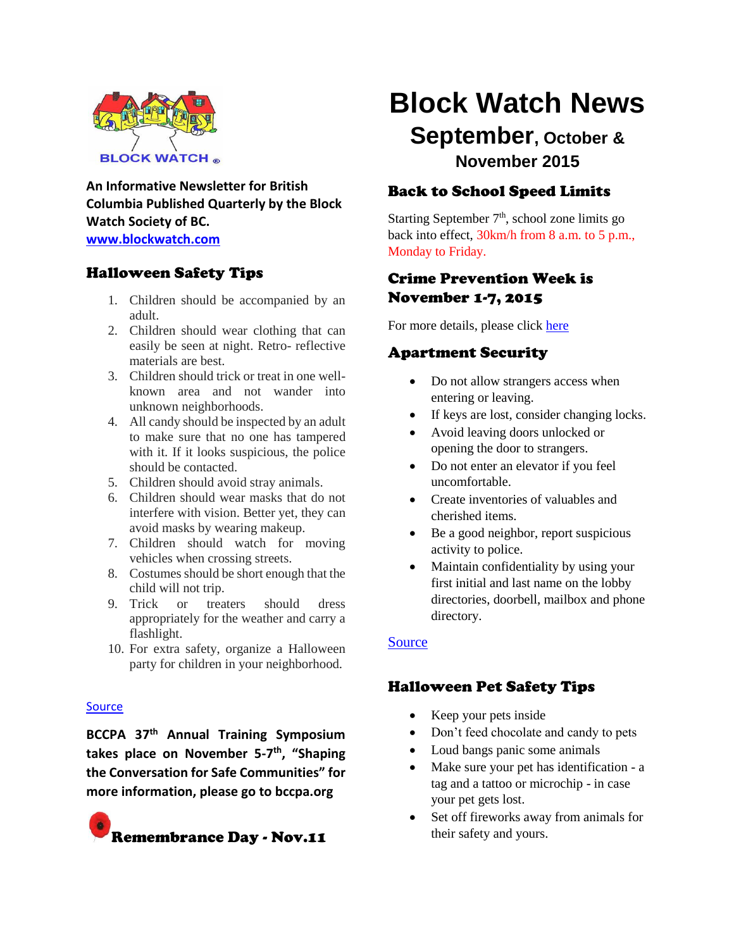

**An Informative Newsletter for British Columbia Published Quarterly by the Block Watch Society of BC. [www.blockwatch.com](http://www.blockwatch.com/)**

## Halloween Safety Tips

- 1. Children should be accompanied by an adult.
- 2. Children should wear clothing that can easily be seen at night. Retro- reflective materials are best.
- 3. Children should trick or treat in one wellknown area and not wander into unknown neighborhoods.
- 4. All candy should be inspected by an adult to make sure that no one has tampered with it. If it looks suspicious, the police should be contacted.
- 5. Children should avoid stray animals.
- 6. Children should wear masks that do not interfere with vision. Better yet, they can avoid masks by wearing makeup.
- 7. Children should watch for moving vehicles when crossing streets.
- 8. Costumes should be short enough that the child will not trip.
- 9. Trick or treaters should dress appropriately for the weather and carry a flashlight.
- 10. For extra safety, organize a Halloween party for children in your neighborhood.

#### [Source](https://canadasafetycouncil.org/child-safety/ten-halloween-safety-tips)

**BCCPA 37th Annual Training Symposium**  takes place on November 5-7<sup>th</sup>, "Shaping **the Conversation for Safe Communities" for more information, please go to bccpa.org**



# **Block Watch News**

## **September, October & November 2015**

## Back to School Speed Limits

Starting September  $7<sup>th</sup>$ , school zone limits go back into effect, 30km/h from 8 a.m. to 5 p.m., Monday to Friday.

## Crime Prevention Week is November 1-7, 2015

For more details, please click [here](http://bccpa.org/)

## Apartment Security

- Do not allow strangers access when entering or leaving.
- If keys are lost, consider changing locks.
- Avoid leaving doors unlocked or opening the door to strangers.
- Do not enter an elevator if you feel uncomfortable.
- Create inventories of valuables and cherished items.
- Be a good neighbor, report suspicious activity to police.
- Maintain confidentiality by using your first initial and last name on the lobby directories, doorbell, mailbox and phone directory.

### [Source](http://bccpa.org/crime-reduction/apartment-security/)

## Halloween Pet Safety Tips

- Keep your pets inside
- Don't feed chocolate and candy to pets
- Loud bangs panic some animals
- Make sure your pet has identification a tag and a tattoo or microchip - in case your pet gets lost.
- Set off fireworks away from animals for their safety and yours.